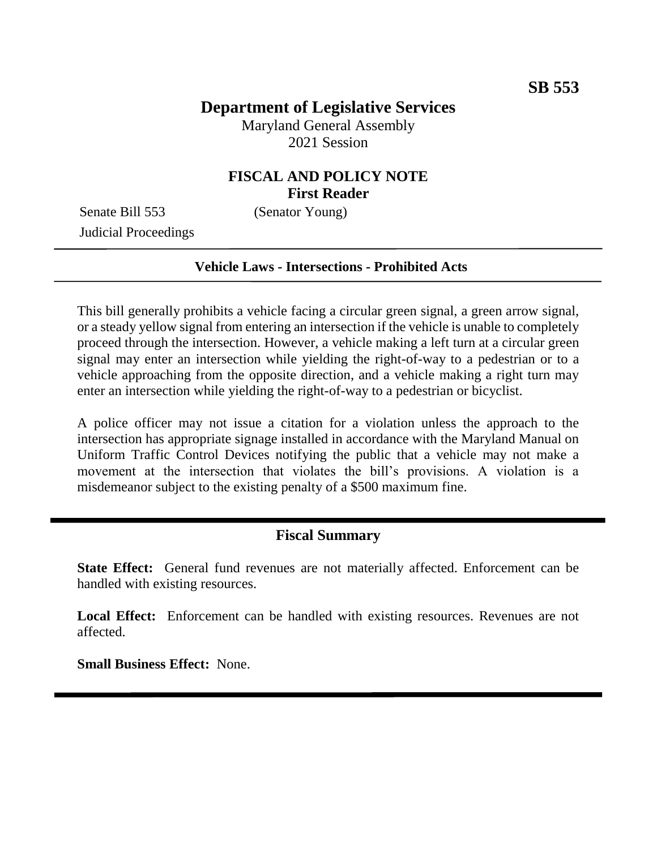## **Department of Legislative Services**

Maryland General Assembly 2021 Session

### **FISCAL AND POLICY NOTE First Reader**

Senate Bill 553 (Senator Young) Judicial Proceedings

#### **Vehicle Laws - Intersections - Prohibited Acts**

This bill generally prohibits a vehicle facing a circular green signal, a green arrow signal, or a steady yellow signal from entering an intersection if the vehicle is unable to completely proceed through the intersection. However, a vehicle making a left turn at a circular green signal may enter an intersection while yielding the right-of-way to a pedestrian or to a vehicle approaching from the opposite direction, and a vehicle making a right turn may enter an intersection while yielding the right-of-way to a pedestrian or bicyclist.

A police officer may not issue a citation for a violation unless the approach to the intersection has appropriate signage installed in accordance with the Maryland Manual on Uniform Traffic Control Devices notifying the public that a vehicle may not make a movement at the intersection that violates the bill's provisions. A violation is a misdemeanor subject to the existing penalty of a \$500 maximum fine.

### **Fiscal Summary**

**State Effect:** General fund revenues are not materially affected. Enforcement can be handled with existing resources.

**Local Effect:** Enforcement can be handled with existing resources. Revenues are not affected.

**Small Business Effect:** None.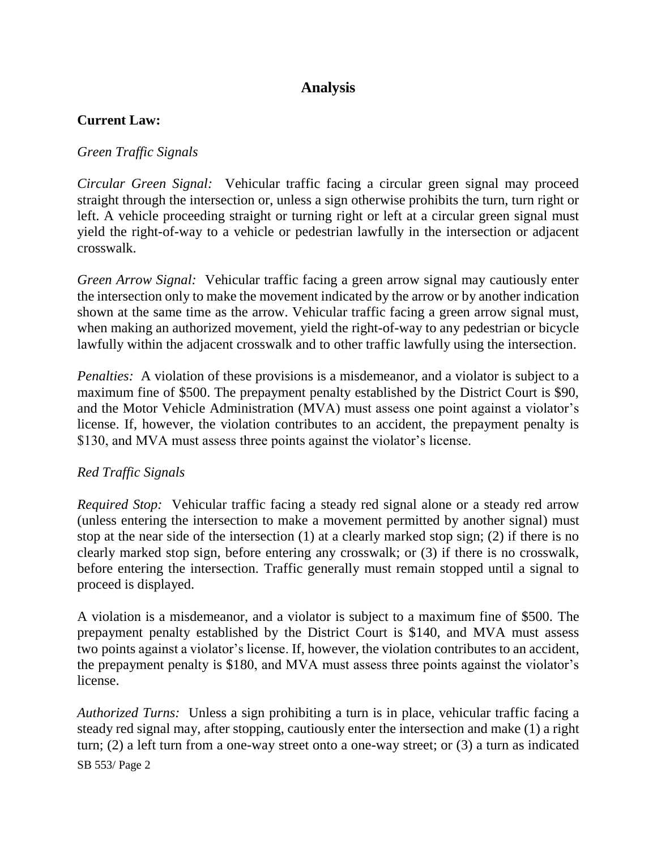# **Analysis**

### **Current Law:**

#### *Green Traffic Signals*

*Circular Green Signal:* Vehicular traffic facing a circular green signal may proceed straight through the intersection or, unless a sign otherwise prohibits the turn, turn right or left. A vehicle proceeding straight or turning right or left at a circular green signal must yield the right-of-way to a vehicle or pedestrian lawfully in the intersection or adjacent crosswalk.

*Green Arrow Signal:* Vehicular traffic facing a green arrow signal may cautiously enter the intersection only to make the movement indicated by the arrow or by another indication shown at the same time as the arrow. Vehicular traffic facing a green arrow signal must, when making an authorized movement, yield the right-of-way to any pedestrian or bicycle lawfully within the adjacent crosswalk and to other traffic lawfully using the intersection.

*Penalties:* A violation of these provisions is a misdemeanor, and a violator is subject to a maximum fine of \$500. The prepayment penalty established by the District Court is \$90, and the Motor Vehicle Administration (MVA) must assess one point against a violator's license. If, however, the violation contributes to an accident, the prepayment penalty is \$130, and MVA must assess three points against the violator's license.

#### *Red Traffic Signals*

*Required Stop:* Vehicular traffic facing a steady red signal alone or a steady red arrow (unless entering the intersection to make a movement permitted by another signal) must stop at the near side of the intersection (1) at a clearly marked stop sign; (2) if there is no clearly marked stop sign, before entering any crosswalk; or (3) if there is no crosswalk, before entering the intersection. Traffic generally must remain stopped until a signal to proceed is displayed.

A violation is a misdemeanor, and a violator is subject to a maximum fine of \$500. The prepayment penalty established by the District Court is \$140, and MVA must assess two points against a violator's license. If, however, the violation contributes to an accident, the prepayment penalty is \$180, and MVA must assess three points against the violator's license.

SB 553/ Page 2 *Authorized Turns:* Unless a sign prohibiting a turn is in place, vehicular traffic facing a steady red signal may, after stopping, cautiously enter the intersection and make (1) a right turn; (2) a left turn from a one-way street onto a one-way street; or (3) a turn as indicated